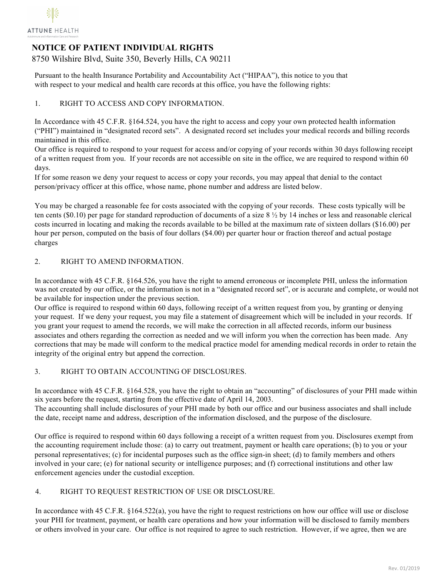

# **NOTICE OF PATIENT INDIVIDUAL RIGHTS**

8750 Wilshire Blvd, Suite 350, Beverly Hills, CA 90211

Pursuant to the health Insurance Portability and Accountability Act ("HIPAA"), this notice to you that with respect to your medical and health care records at this office, you have the following rights:

# 1. RIGHT TO ACCESS AND COPY INFORMATION.

In Accordance with 45 C.F.R. §164.524, you have the right to access and copy your own protected health information ("PHI") maintained in "designated record sets". A designated record set includes your medical records and billing records maintained in this office.

Our office is required to respond to your request for access and/or copying of your records within 30 days following receipt of a written request from you. If your records are not accessible on site in the office, we are required to respond within 60 days.

If for some reason we deny your request to access or copy your records, you may appeal that denial to the contact person/privacy officer at this office, whose name, phone number and address are listed below.

You may be charged a reasonable fee for costs associated with the copying of your records. These costs typically will be ten cents (\$0.10) per page for standard reproduction of documents of a size  $8\frac{1}{2}$  by 14 inches or less and reasonable clerical costs incurred in locating and making the records available to be billed at the maximum rate of sixteen dollars (\$16.00) per hour per person, computed on the basis of four dollars (\$4.00) per quarter hour or fraction thereof and actual postage charges

## 2. RIGHT TO AMEND INFORMATION.

In accordance with 45 C.F.R. §164.526, you have the right to amend erroneous or incomplete PHI, unless the information was not created by our office, or the information is not in a "designated record set", or is accurate and complete, or would not be available for inspection under the previous section.

Our office is required to respond within 60 days, following receipt of a written request from you, by granting or denying your request. If we deny your request, you may file a statement of disagreement which will be included in your records. If you grant your request to amend the records, we will make the correction in all affected records, inform our business associates and others regarding the correction as needed and we will inform you when the correction has been made. Any corrections that may be made will conform to the medical practice model for amending medical records in order to retain the integrity of the original entry but append the correction.

#### 3. RIGHT TO OBTAIN ACCOUNTING OF DISCLOSURES.

In accordance with 45 C.F.R. §164.528, you have the right to obtain an "accounting" of disclosures of your PHI made within six years before the request, starting from the effective date of April 14, 2003. The accounting shall include disclosures of your PHI made by both our office and our business associates and shall include the date, receipt name and address, description of the information disclosed, and the purpose of the disclosure.

Our office is required to respond within 60 days following a receipt of a written request from you. Disclosures exempt from the accounting requirement include those: (a) to carry out treatment, payment or health care operations; (b) to you or your personal representatives; (c) for incidental purposes such as the office sign-in sheet; (d) to family members and others involved in your care; (e) for national security or intelligence purposes; and (f) correctional institutions and other law enforcement agencies under the custodial exception.

#### 4. RIGHT TO REQUEST RESTRICTION OF USE OR DISCLOSURE.

In accordance with 45 C.F.R. §164.522(a), you have the right to request restrictions on how our office will use or disclose your PHI for treatment, payment, or health care operations and how your information will be disclosed to family members or others involved in your care. Our office is not required to agree to such restriction. However, if we agree, then we are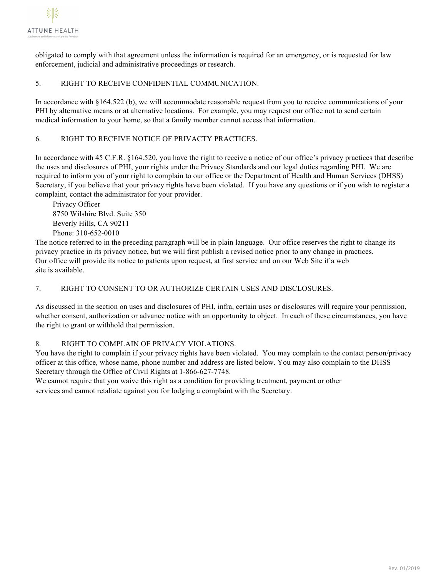

obligated to comply with that agreement unless the information is required for an emergency, or is requested for law enforcement, judicial and administrative proceedings or research.

#### 5. RIGHT TO RECEIVE CONFIDENTIAL COMMUNICATION.

In accordance with §164.522 (b), we will accommodate reasonable request from you to receive communications of your PHI by alternative means or at alternative locations. For example, you may request our office not to send certain medical information to your home, so that a family member cannot access that information.

# 6. RIGHT TO RECEIVE NOTICE OF PRIVACTY PRACTICES.

In accordance with 45 C.F.R. §164.520, you have the right to receive a notice of our office's privacy practices that describe the uses and disclosures of PHI, your rights under the Privacy Standards and our legal duties regarding PHI. We are required to inform you of your right to complain to our office or the Department of Health and Human Services (DHSS) Secretary, if you believe that your privacy rights have been violated. If you have any questions or if you wish to register a complaint, contact the administrator for your provider.

Privacy Officer 8750 Wilshire Blvd. Suite 350 Beverly Hills, CA 90211 Phone: 310-652-0010

The notice referred to in the preceding paragraph will be in plain language. Our office reserves the right to change its privacy practice in its privacy notice, but we will first publish a revised notice prior to any change in practices. Our office will provide its notice to patients upon request, at first service and on our Web Site if a web site is available.

# 7. RIGHT TO CONSENT TO OR AUTHORIZE CERTAIN USES AND DISCLOSURES.

As discussed in the section on uses and disclosures of PHI, infra, certain uses or disclosures will require your permission, whether consent, authorization or advance notice with an opportunity to object. In each of these circumstances, you have the right to grant or withhold that permission.

#### 8. RIGHT TO COMPLAIN OF PRIVACY VIOLATIONS.

You have the right to complain if your privacy rights have been violated. You may complain to the contact person/privacy officer at this office, whose name, phone number and address are listed below. You may also complain to the DHSS Secretary through the Office of Civil Rights at 1-866-627-7748.

We cannot require that you waive this right as a condition for providing treatment, payment or other services and cannot retaliate against you for lodging a complaint with the Secretary.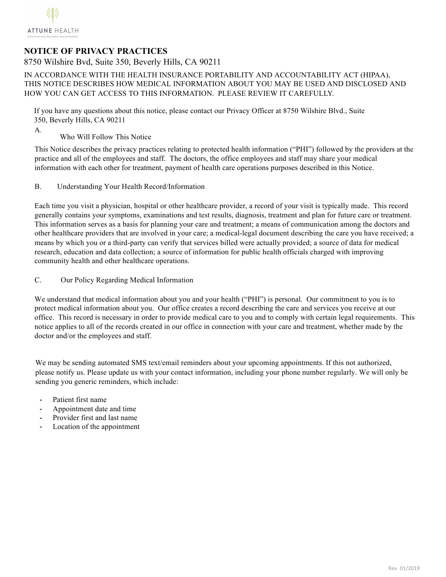# **NOTICE OF PRIVACY PRACTICES**

8750 Wilshire Bvd, Suite 350, Beverly Hills, CA 90211

 IN ACCORDANCE WITH THE HEALTH INSURANCE PORTABILITY AND ACCOUNTABILITY ACT (HIPAA), THIS NOTICE DESCRIBES HOW MEDICAL INFORMATION ABOUT YOU MAY BE USED AND DISCLOSED AND HOW YOU CAN GET ACCESS TO THIS INFORMATION. PLEASE REVIEW IT CAREFULLY.

 If you have any questions about this notice, please contact our Privacy Officer at 8750 Wilshire Blvd., Suite 350, Beverly Hills, CA 90211

- A.
- Who Will Follow This Notice

This Notice describes the privacy practices relating to protected health information ("PHI") followed by the providers at the practice and all of the employees and staff. The doctors, the office employees and staff may share your medical information with each other for treatment, payment of health care operations purposes described in this Notice.

B. Understanding Your Health Record/Information

Each time you visit a physician, hospital or other healthcare provider, a record of your visit is typically made. This record generally contains your symptoms, examinations and test results, diagnosis, treatment and plan for future care or treatment. This information serves as a basis for planning your care and treatment; a means of communication among the doctors and other healthcare providers that are involved in your care; a medical-legal document describing the care you have received; a means by which you or a third-party can verify that services billed were actually provided; a source of data for medical research, education and data collection; a source of information for public health officials charged with improving community health and other healthcare operations.

C. Our Policy Regarding Medical Information

We understand that medical information about you and your health ("PHI") is personal. Our commitment to you is to protect medical information about you. Our office creates a record describing the care and services you receive at our office. This record is necessary in order to provide medical care to you and to comply with certain legal requirements. This notice applies to all of the records created in our office in connection with your care and treatment, whether made by the doctor and/or the employees and staff.

We may be sending automated SMS text/email reminders about your upcoming appointments. If this not authorized, please notify us. Please update us with your contact information, including your phone number regularly. We will only be sending you generic reminders, which include:

- **-** Patient first name
- **-** Appointment date and time
- **-** Provider first and last name
- **-** Location of the appointment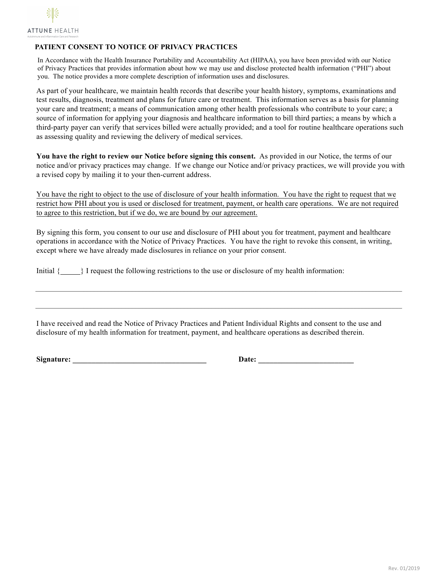

# **PATIENT CONSENT TO NOTICE OF PRIVACY PRACTICES**

 In Accordance with the Health Insurance Portability and Accountability Act (HIPAA), you have been provided with our Notice of Privacy Practices that provides information about how we may use and disclose protected health information ("PHI") about you. The notice provides a more complete description of information uses and disclosures.

As part of your healthcare, we maintain health records that describe your health history, symptoms, examinations and test results, diagnosis, treatment and plans for future care or treatment. This information serves as a basis for planning your care and treatment; a means of communication among other health professionals who contribute to your care; a source of information for applying your diagnosis and healthcare information to bill third parties; a means by which a third-party payer can verify that services billed were actually provided; and a tool for routine healthcare operations such as assessing quality and reviewing the delivery of medical services.

**You have the right to review our Notice before signing this consent.** As provided in our Notice, the terms of our notice and/or privacy practices may change. If we change our Notice and/or privacy practices, we will provide you with a revised copy by mailing it to your then-current address.

You have the right to object to the use of disclosure of your health information. You have the right to request that we restrict how PHI about you is used or disclosed for treatment, payment, or health care operations. We are not required to agree to this restriction, but if we do, we are bound by our agreement.

By signing this form, you consent to our use and disclosure of PHI about you for treatment, payment and healthcare operations in accordance with the Notice of Privacy Practices. You have the right to revoke this consent, in writing, except where we have already made disclosures in reliance on your prior consent.

Initial { } I request the following restrictions to the use or disclosure of my health information:

I have received and read the Notice of Privacy Practices and Patient Individual Rights and consent to the use and disclosure of my health information for treatment, payment, and healthcare operations as described therein.

 $\mathcal{L}_\text{max} = \frac{1}{2} \sum_{i=1}^n \mathcal{L}_\text{max} = \frac{1}{2} \sum_{i=1}^n \mathcal{L}_\text{max} = \frac{1}{2} \sum_{i=1}^n \mathcal{L}_\text{max} = \frac{1}{2} \sum_{i=1}^n \mathcal{L}_\text{max} = \frac{1}{2} \sum_{i=1}^n \mathcal{L}_\text{max} = \frac{1}{2} \sum_{i=1}^n \mathcal{L}_\text{max} = \frac{1}{2} \sum_{i=1}^n \mathcal{L}_\text{max} = \frac{1}{2} \sum_{i=$ 

**Signature:**  $\qquad \qquad$  **Date:**  $\qquad \qquad$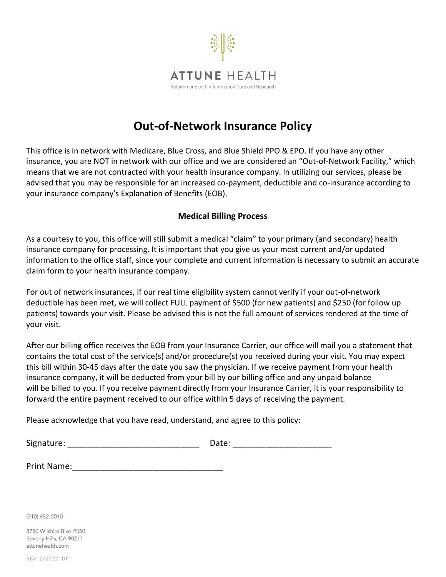

# **Out-of-Network Insurance Policy**

This office is in network with Medicare, Blue Cross, and Blue Shield PPO & EPO. If you have any other insurance, you are NOT in network with our office and we are considered an "Out-of-Network Facility," which means that we are not contracted with your health insurance company. In utilizing our services, please be advised that you may be responsible for an increased co-payment, deductible and co-insurance according to your insurance company's Explanation of Benefits (EOB).

# **Medical Billing Process**

As a courtesy to you, this office will still submit a medical "claim" to your primary (and secondary) health insurance company for processing. It is important that you give us your most current and/or updated information to the office staff, since your complete and current information is necessary to submit an accurate claim form to your health insurance company.

For out of network insurances, if our real time eligibility system cannot verify if your out-of-network deductible has been met, we will collect FULL payment of \$500 (for new patients) and \$250 (for follow up patients) towards your visit. Please be advised this is not the full amount of services rendered at the time of your visit.

After our billing office receives the EOB from your Insurance Carrier, our office will mail you a statement that contains the total cost of the service(s) and/or procedure(s) you received during your visit. You may expect this bill within 30-45 days after the date you saw the physician. If we receive payment from your health insurance company, it will be deducted from your bill by our billing office and any unpaid balance will be billed to you. If you receive payment directly from your Insurance Carrier, it is your responsibility to forward the entire payment received to our office within 5 days of receiving the payment.

Please acknowledge that you have read, understand, and agree to this policy:

| Signature: |  |
|------------|--|
|------------|--|

(310) 652-0010

8750 Wilshire Blvd #350 Beverly Hills, CA 90211 attunehealth.com

REV 2/2022 -DP